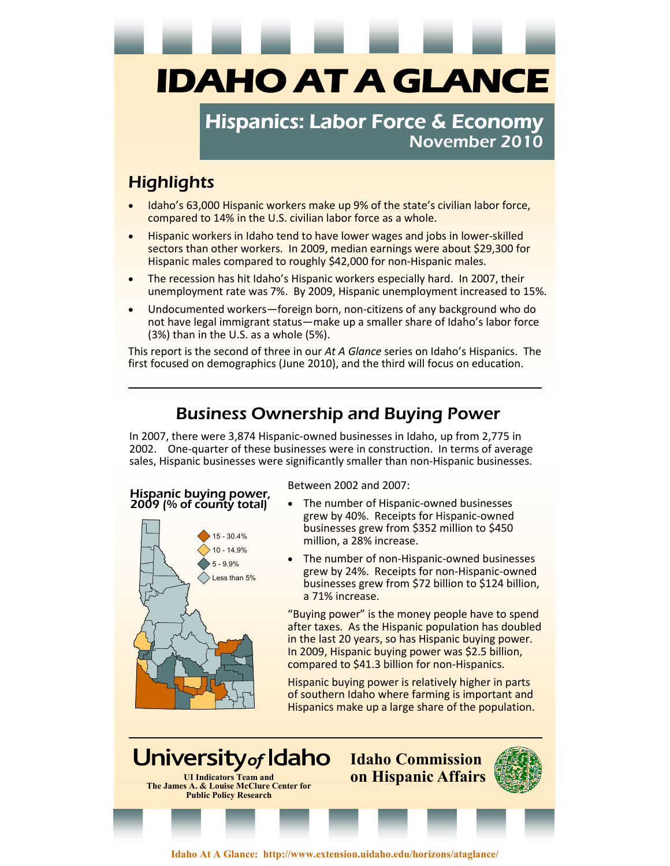# **IDAHO AT A GLANCE**

## Hispanics: Labor Force & Economy November 2010

# **Highlights**

- Idaho's 63,000 Hispanic workers make up 9% of the state's civilian labor force, compared to 14% in the U.S. civilian labor force as a whole.
- Hispanic workers in Idaho tend to have lower wages and jobs in lower-skilled sectors than other workers. In 2009, median earnings were about \$29,300 for Hispanic males compared to roughly \$42,000 for non-Hispanic males.
- The recession has hit Idaho's Hispanic workers especially hard. In 2007, their unemployment rate was 7%. By 2009, Hispanic unemployment increased to 15%.
- Undocumented workers—foreign born, non-citizens of any background who do not have legal immigrant status—make up a smaller share of Idaho's labor force (3%) than in the U.S. as a whole (5%).

This report is the second of three in our *At A Glance* series on Idaho's Hispanics. The first focused on demographics (June 2010), and the third will focus on education.

## Business Ownership and Buying Power

In 2007, there were 3,874 Hispanic-owned businesses in Idaho, up from 2,775 in 2002. One-quarter of these businesses were in construction. In terms of average sales, Hispanic businesses were significantly smaller than non-Hispanic businesses.

#### Hispanic buying power, 2009 (% of county total)



Between 2002 and 2007:

- The number of Hispanic-owned businesses grew by 40%. Receipts for Hispanic-owned businesses grew from \$352 million to \$450 million, a 28% increase.
- The number of non-Hispanic-owned businesses grew by 24%. Receipts for non-Hispanic-owned businesses grew from \$72 billion to \$124 billion, a 71% increase.

"Buying power" is the money people have to spend after taxes. As the Hispanic population has doubled in the last 20 years, so has Hispanic buying power. In 2009, Hispanic buying power was \$2.5 billion, compared to \$41.3 billion for non-Hispanics.

Hispanic buying power is relatively higher in parts of southern Idaho where farming is important and Hispanics make up a large share of the population.

University of Idaho **Idaho Commission UI Indicators Team and on Hispanic Affairs The James A. & Louise McClure Center for Public Policy Research** 

**Idaho At A Glance: http://www.extension.uidaho.edu/horizons/ataglance/**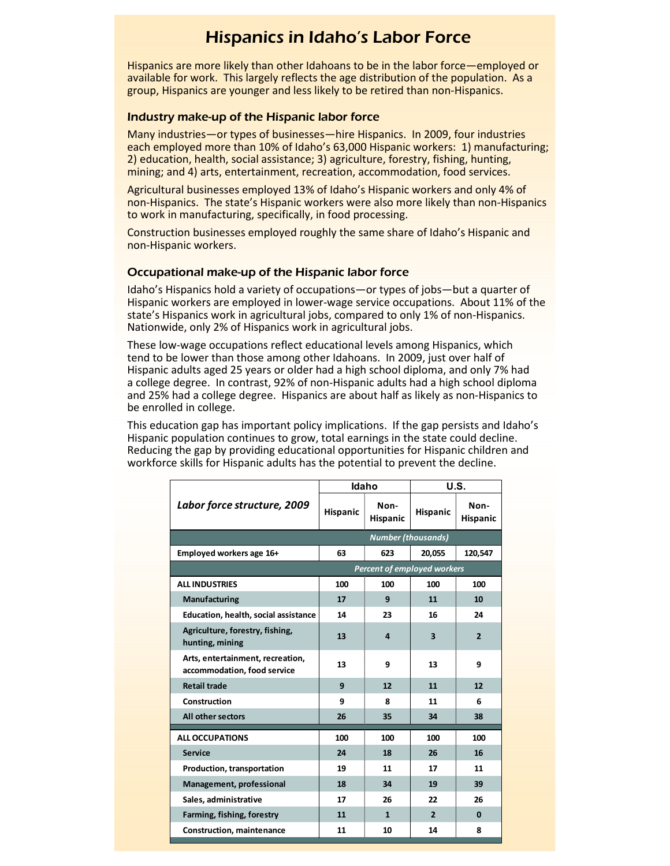## Hispanics in Idaho's Labor Force

Hispanics are more likely than other Idahoans to be in the labor force—employed or available for work. This largely reflects the age distribution of the population. As a group, Hispanics are younger and less likely to be retired than non-Hispanics.

#### Industry make-up of the Hispanic labor force

Many industries—or types of businesses—hire Hispanics. In 2009, four industries each employed more than 10% of Idaho's 63,000 Hispanic workers: 1) manufacturing; 2) education, health, social assistance; 3) agriculture, forestry, fishing, hunting, mining; and 4) arts, entertainment, recreation, accommodation, food services.

Agricultural businesses employed 13% of Idaho's Hispanic workers and only 4% of non-Hispanics. The state's Hispanic workers were also more likely than non-Hispanics to work in manufacturing, specifically, in food processing.

Construction businesses employed roughly the same share of Idaho's Hispanic and non-Hispanic workers.

#### Occupational make-up of the Hispanic labor force

Idaho's Hispanics hold a variety of occupations—or types of jobs—but a quarter of Hispanic workers are employed in lower-wage service occupations. About 11% of the state's Hispanics work in agricultural jobs, compared to only 1% of non-Hispanics. Nationwide, only 2% of Hispanics work in agricultural jobs.

These low-wage occupations reflect educational levels among Hispanics, which tend to be lower than those among other Idahoans. In 2009, just over half of Hispanic adults aged 25 years or older had a high school diploma, and only 7% had a college degree. In contrast, 92% of non-Hispanic adults had a high school diploma and 25% had a college degree. Hispanics are about half as likely as non-Hispanics to be enrolled in college.

This education gap has important policy implications. If the gap persists and Idaho's Hispanic population continues to grow, total earnings in the state could decline. Reducing the gap by providing educational opportunities for Hispanic children and workforce skills for Hispanic adults has the potential to prevent the decline.

|                                                                 | <b>Idaho</b>              |                         | U.S.                    |                  |  |
|-----------------------------------------------------------------|---------------------------|-------------------------|-------------------------|------------------|--|
| Labor force structure, 2009                                     | Hispanic                  | Non-<br><b>Hispanic</b> | Hispanic                | Non-<br>Hispanic |  |
|                                                                 | <b>Number (thousands)</b> |                         |                         |                  |  |
| Employed workers age 16+                                        | 63                        | 623                     | 20,055                  | 120,547          |  |
| <b>Percent of employed workers</b>                              |                           |                         |                         |                  |  |
| <b>ALL INDUSTRIES</b>                                           | 100                       | 100                     | 100                     | 100              |  |
| Manufacturing                                                   | 17                        | 9                       | 11                      | 10               |  |
| <b>Education, health, social assistance</b>                     | 14                        | 23                      | 16                      | 24               |  |
| Agriculture, forestry, fishing,<br>hunting, mining              | 13                        | 4                       | $\overline{\mathbf{3}}$ | $\overline{2}$   |  |
| Arts, entertainment, recreation,<br>accommodation, food service | 13                        | 9                       | 13                      | 9                |  |
| <b>Retail trade</b>                                             | 9                         | 12                      | 11                      | 12               |  |
| <b>Construction</b>                                             | 9                         | 8                       | 11                      | 6                |  |
| All other sectors                                               | 26                        | 35                      | 34                      | 38               |  |
| <b>ALL OCCUPATIONS</b>                                          | 100                       | 100                     | 100                     | 100              |  |
| <b>Service</b>                                                  | 24                        | 18                      | 26                      | 16               |  |
| Production, transportation                                      | 19                        | 11                      | 17                      | 11               |  |
| Management, professional                                        | 18                        | 34                      | 19                      | 39               |  |
| Sales, administrative                                           | 17                        | 26                      | 22                      | 26               |  |
| Farming, fishing, forestry                                      | 11                        | $\mathbf{1}$            | $\overline{2}$          | $\bf{0}$         |  |
| <b>Construction, maintenance</b>                                | 11                        | 10                      | 14                      | 8                |  |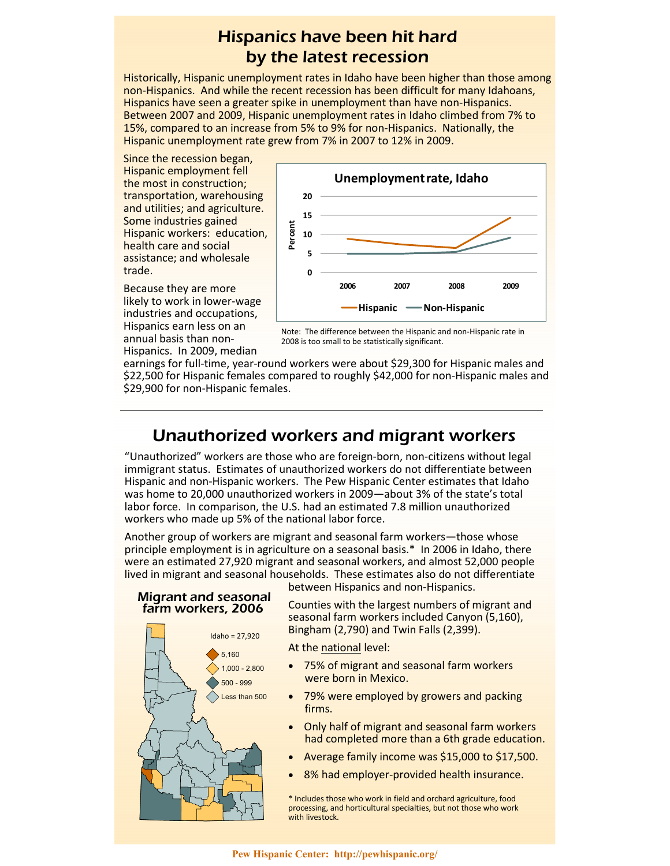## Hispanics have been hit hard by the latest recession

Historically, Hispanic unemployment rates in Idaho have been higher than those among non-Hispanics. And while the recent recession has been difficult for many Idahoans, Hispanics have seen a greater spike in unemployment than have non-Hispanics. Between 2007 and 2009, Hispanic unemployment rates in Idaho climbed from 7% to 15%, compared to an increase from 5% to 9% for non-Hispanics. Nationally, the Hispanic unemployment rate grew from 7% in 2007 to 12% in 2009.

Since the recession began, Hispanic employment fell the most in construction; transportation, warehousing and utilities; and agriculture. Some industries gained Hispanic workers: education, health care and social assistance; and wholesale trade.



Because they are more likely to work in lower-wage industries and occupations, Hispanics earn less on an annual basis than non-Hispanics. In 2009, median



earnings for full-time, year-round workers were about \$29,300 for Hispanic males and \$22,500 for Hispanic females compared to roughly \$42,000 for non-Hispanic males and \$29,900 for non-Hispanic females.

### Unauthorized workers and migrant workers

"Unauthorized" workers are those who are foreign-born, non-citizens without legal immigrant status. Estimates of unauthorized workers do not differentiate between Hispanic and non-Hispanic workers. The Pew Hispanic Center estimates that Idaho was home to 20,000 unauthorized workers in 2009—about 3% of the state's total labor force. In comparison, the U.S. had an estimated 7.8 million unauthorized workers who made up 5% of the national labor force.

Another group of workers are migrant and seasonal farm workers—those whose principle employment is in agriculture on a seasonal basis.\* In 2006 in Idaho, there were an estimated 27,920 migrant and seasonal workers, and almost 52,000 people lived in migrant and seasonal households. These estimates also do not differentiate between Hispanics and non-Hispanics.

#### Migrant and seasonal farm workers, 2006



Counties with the largest numbers of migrant and seasonal farm workers included Canyon (5,160), Bingham (2,790) and Twin Falls (2,399).

At the national level:

- 75% of migrant and seasonal farm workers were born in Mexico.
- 79% were employed by growers and packing firms.
- Only half of migrant and seasonal farm workers had completed more than a 6th grade education.
- Average family income was \$15,000 to \$17,500.
- 8% had employer-provided health insurance.

\* Includes those who work in field and orchard agriculture, food processing, and horticultural specialties, but not those who work with livestock.